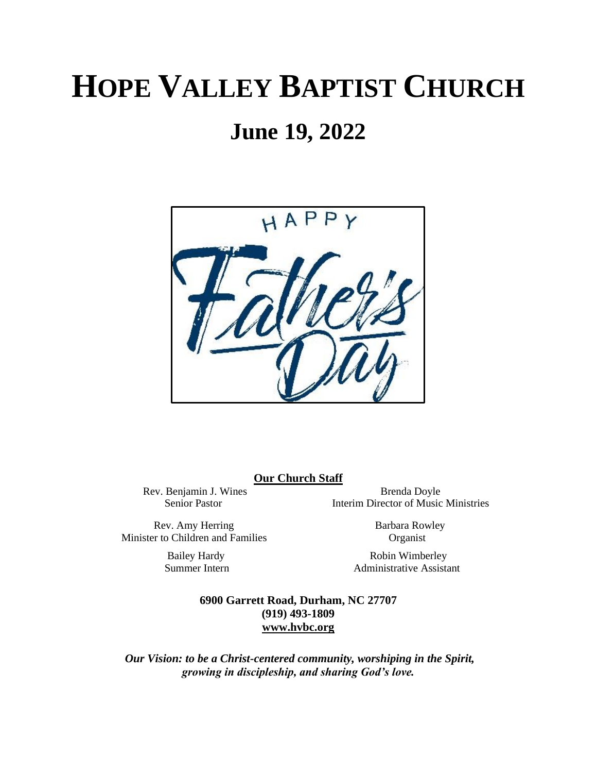## **HOPE VALLEY BAPTIST CHURCH June 19, 2022**



**Our Church Staff**

Rev. Benjamin J. Wines Brenda Doyle

Rev. Amy Herring Barbara Rowley

Senior Pastor Interim Director of Music Ministries

Minister to Children and Families Organist

Bailey Hardy **Robin Wimberley** 

Summer Intern Administrative Assistant

**6900 Garrett Road, Durham, NC 27707 (919) 493-1809 [www.hvbc.org](https://nam02.safelinks.protection.outlook.com/?url=http%3A%2F%2Fwww.hvbc.org%2F&data=04%7C01%7Crobin%40hvbc.org%7Ca1947220efe048d45f2008d90f3f5013%7C19334143b857471a909f515a9e93cce3%7C0%7C0%7C637557586922368739%7CUnknown%7CTWFpbGZsb3d8eyJWIjoiMC4wLjAwMDAiLCJQIjoiV2luMzIiLCJBTiI6Ik1haWwiLCJXVCI6Mn0%3D%7C1000&sdata=vD8UY%2Ft%2Bw4fHfO%2FGyoDO3ShGm4jsX4L5zIVu36neNyk%3D&reserved=0)**

*Our Vision: to be a Christ-centered community, worshiping in the Spirit, growing in discipleship, and sharing God's love.*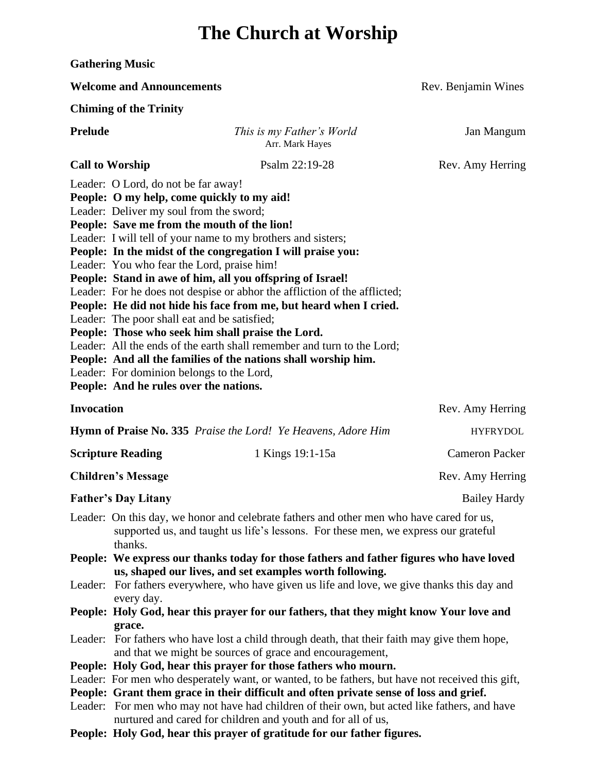## **The Church at Worship**

|                            | <b>Gathering Music</b>                                                                                                                                                                                                                                                                                                                                                                                                                                                                                                                             |                                                                                                                                                                                                                                                                                                                                                           |                       |  |
|----------------------------|----------------------------------------------------------------------------------------------------------------------------------------------------------------------------------------------------------------------------------------------------------------------------------------------------------------------------------------------------------------------------------------------------------------------------------------------------------------------------------------------------------------------------------------------------|-----------------------------------------------------------------------------------------------------------------------------------------------------------------------------------------------------------------------------------------------------------------------------------------------------------------------------------------------------------|-----------------------|--|
|                            | <b>Welcome and Announcements</b>                                                                                                                                                                                                                                                                                                                                                                                                                                                                                                                   |                                                                                                                                                                                                                                                                                                                                                           | Rev. Benjamin Wines   |  |
|                            | <b>Chiming of the Trinity</b>                                                                                                                                                                                                                                                                                                                                                                                                                                                                                                                      |                                                                                                                                                                                                                                                                                                                                                           |                       |  |
| <b>Prelude</b>             |                                                                                                                                                                                                                                                                                                                                                                                                                                                                                                                                                    | This is my Father's World<br>Arr. Mark Hayes                                                                                                                                                                                                                                                                                                              | Jan Mangum            |  |
| <b>Call to Worship</b>     |                                                                                                                                                                                                                                                                                                                                                                                                                                                                                                                                                    | Psalm 22:19-28                                                                                                                                                                                                                                                                                                                                            | Rev. Amy Herring      |  |
|                            | Leader: O Lord, do not be far away!<br>People: O my help, come quickly to my aid!<br>Leader: Deliver my soul from the sword;<br>People: Save me from the mouth of the lion!<br>Leader: I will tell of your name to my brothers and sisters;<br>Leader: You who fear the Lord, praise him!<br>People: Stand in awe of him, all you offspring of Israel!<br>Leader: The poor shall eat and be satisfied;<br>People: Those who seek him shall praise the Lord.<br>Leader: For dominion belongs to the Lord,<br>People: And he rules over the nations. | People: In the midst of the congregation I will praise you:<br>Leader: For he does not despise or abhor the affliction of the afflicted;<br>People: He did not hide his face from me, but heard when I cried.<br>Leader: All the ends of the earth shall remember and turn to the Lord;<br>People: And all the families of the nations shall worship him. |                       |  |
| <b>Invocation</b>          |                                                                                                                                                                                                                                                                                                                                                                                                                                                                                                                                                    |                                                                                                                                                                                                                                                                                                                                                           | Rev. Amy Herring      |  |
|                            |                                                                                                                                                                                                                                                                                                                                                                                                                                                                                                                                                    | <b>Hymn of Praise No. 335</b> Praise the Lord! Ye Heavens, Adore Him                                                                                                                                                                                                                                                                                      | <b>HYFRYDOL</b>       |  |
|                            | <b>Scripture Reading</b>                                                                                                                                                                                                                                                                                                                                                                                                                                                                                                                           | 1 Kings 19:1-15a                                                                                                                                                                                                                                                                                                                                          | <b>Cameron Packer</b> |  |
| <b>Children's Message</b>  |                                                                                                                                                                                                                                                                                                                                                                                                                                                                                                                                                    |                                                                                                                                                                                                                                                                                                                                                           | Rev. Amy Herring      |  |
| <b>Father's Day Litany</b> |                                                                                                                                                                                                                                                                                                                                                                                                                                                                                                                                                    |                                                                                                                                                                                                                                                                                                                                                           | <b>Bailey Hardy</b>   |  |
|                            | thanks.                                                                                                                                                                                                                                                                                                                                                                                                                                                                                                                                            | Leader: On this day, we honor and celebrate fathers and other men who have cared for us,<br>supported us, and taught us life's lessons. For these men, we express our grateful                                                                                                                                                                            |                       |  |
|                            | every day.                                                                                                                                                                                                                                                                                                                                                                                                                                                                                                                                         | People: We express our thanks today for those fathers and father figures who have loved<br>us, shaped our lives, and set examples worth following.<br>Leader: For fathers everywhere, who have given us life and love, we give thanks this day and                                                                                                        |                       |  |
|                            |                                                                                                                                                                                                                                                                                                                                                                                                                                                                                                                                                    | People: Holy God, hear this prayer for our fathers, that they might know Your love and                                                                                                                                                                                                                                                                    |                       |  |
|                            | grace.<br>Leader: For fathers who have lost a child through death, that their faith may give them hope,<br>and that we might be sources of grace and encouragement,                                                                                                                                                                                                                                                                                                                                                                                |                                                                                                                                                                                                                                                                                                                                                           |                       |  |
|                            | People: Holy God, hear this prayer for those fathers who mourn.<br>Leader: For men who desperately want, or wanted, to be fathers, but have not received this gift,                                                                                                                                                                                                                                                                                                                                                                                |                                                                                                                                                                                                                                                                                                                                                           |                       |  |
|                            |                                                                                                                                                                                                                                                                                                                                                                                                                                                                                                                                                    |                                                                                                                                                                                                                                                                                                                                                           |                       |  |
|                            | People: Grant them grace in their difficult and often private sense of loss and grief.<br>Leader: For men who may not have had children of their own, but acted like fathers, and have                                                                                                                                                                                                                                                                                                                                                             |                                                                                                                                                                                                                                                                                                                                                           |                       |  |
|                            |                                                                                                                                                                                                                                                                                                                                                                                                                                                                                                                                                    | nurtured and cared for children and youth and for all of us,<br>People: Holy God, hear this prayer of gratitude for our father figures.                                                                                                                                                                                                                   |                       |  |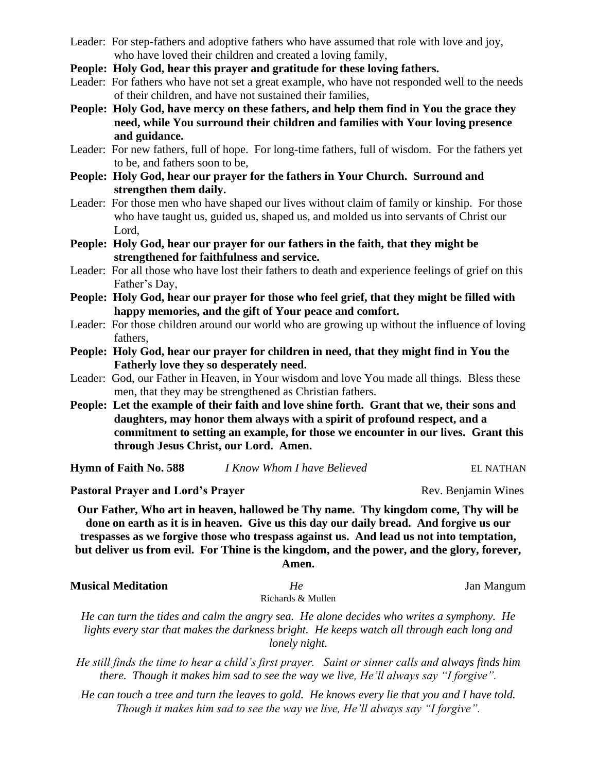- Leader: For step-fathers and adoptive fathers who have assumed that role with love and joy, who have loved their children and created a loving family,
- **People: Holy God, hear this prayer and gratitude for these loving fathers.**
- Leader: For fathers who have not set a great example, who have not responded well to the needs of their children, and have not sustained their families,
- **People: Holy God, have mercy on these fathers, and help them find in You the grace they need, while You surround their children and families with Your loving presence and guidance.**
- Leader: For new fathers, full of hope. For long-time fathers, full of wisdom. For the fathers yet to be, and fathers soon to be,
- **People: Holy God, hear our prayer for the fathers in Your Church. Surround and strengthen them daily.**
- Leader: For those men who have shaped our lives without claim of family or kinship. For those who have taught us, guided us, shaped us, and molded us into servants of Christ our Lord,
- **People: Holy God, hear our prayer for our fathers in the faith, that they might be strengthened for faithfulness and service.**
- Leader: For all those who have lost their fathers to death and experience feelings of grief on this Father's Day,
- **People: Holy God, hear our prayer for those who feel grief, that they might be filled with happy memories, and the gift of Your peace and comfort.**
- Leader: For those children around our world who are growing up without the influence of loving fathers,
- **People: Holy God, hear our prayer for children in need, that they might find in You the Fatherly love they so desperately need.**
- Leader: God, our Father in Heaven, in Your wisdom and love You made all things. Bless these men, that they may be strengthened as Christian fathers.
- **People: Let the example of their faith and love shine forth. Grant that we, their sons and daughters, may honor them always with a spirit of profound respect, and a commitment to setting an example, for those we encounter in our lives. Grant this through Jesus Christ, our Lord. Amen.**
- **Hymn of Faith No. 588** *I Know Whom I have Believed* **EL NATHAN**

**Pastoral Prayer and Lord's Prayer Rev. Benjamin Wines Rev. Benjamin Wines** 

**Our Father, Who art in heaven, hallowed be Thy name. Thy kingdom come, Thy will be done on earth as it is in heaven. Give us this day our daily bread. And forgive us our trespasses as we forgive those who trespass against us. And lead us not into temptation, but deliver us from evil. For Thine is the kingdom, and the power, and the glory, forever, Amen.**

**Musical Meditation** *<i>He* **Jan Mangum** 

Richards & Mullen

*He can turn the tides and calm the angry sea. He alone decides who writes a symphony. He lights every star that makes the darkness bright. He keeps watch all through each long and lonely night.*

- *He still finds the time to hear a child's first prayer. Saint or sinner calls and always finds him there. Though it makes him sad to see the way we live, He'll always say "I forgive".*
- *He can touch a tree and turn the leaves to gold. He knows every lie that you and I have told. Though it makes him sad to see the way we live, He'll always say "I forgive".*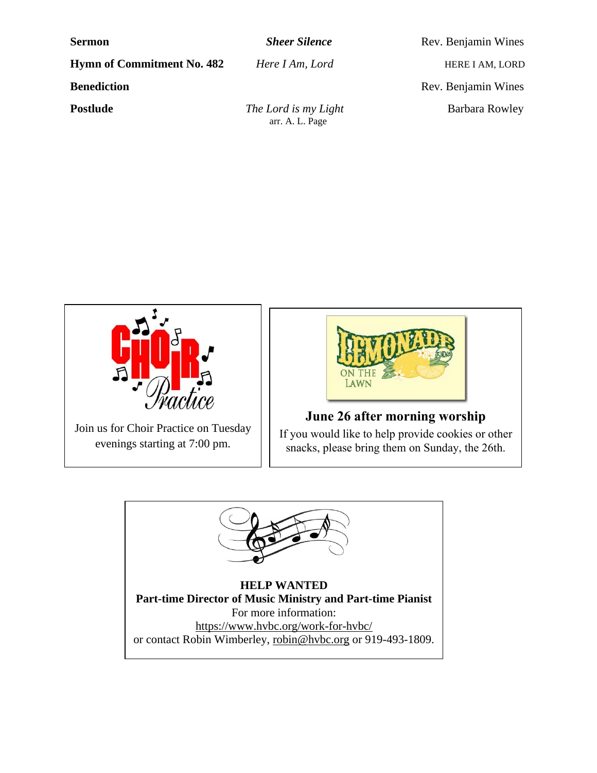**Hymn of Commitment No. 482** *Here I Am, Lord* **HERE I AM, LORD** 

arr. A. L. Page

**Sermon** *Sheer Silence* **Rev. Benjamin Wines Benediction** Rev. Benjamin Wines **Postlude** *Postlude <i>The Lord is my Light* **Barbara Rowley** 



evenings starting at 7:00 pm.



## **June 26 after morning worship**

If you would like to help provide cookies or other snacks, please bring them on Sunday, the 26th.

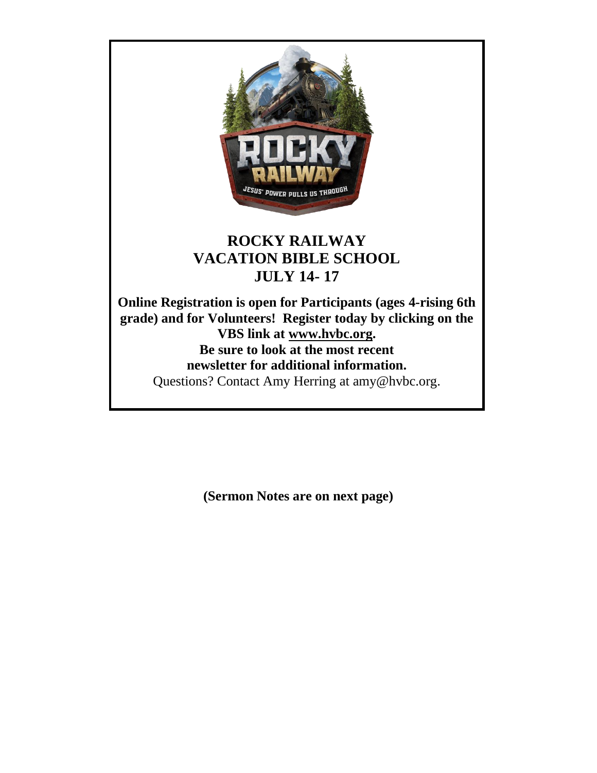

**(Sermon Notes are on next page)**